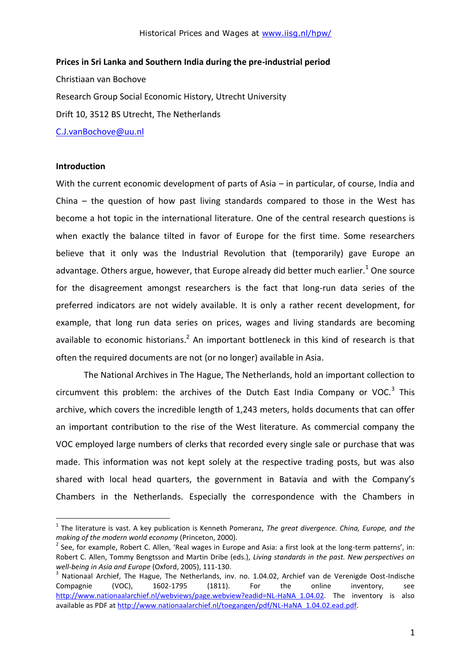**Prices in Sri Lanka and Southern India during the pre-industrial period**

Christiaan van Bochove Research Group Social Economic History, Utrecht University Drift 10, 3512 BS Utrecht, The Netherlands [C.J.vanBochove@uu.nl](mailto:C.J.vanBochove@uu.nl)

#### **Introduction**

1

With the current economic development of parts of Asia – in particular, of course, India and China – the question of how past living standards compared to those in the West has become a hot topic in the international literature. One of the central research questions is when exactly the balance tilted in favor of Europe for the first time. Some researchers believe that it only was the Industrial Revolution that (temporarily) gave Europe an advantage. Others argue, however, that Europe already did better much earlier.<sup>1</sup> One source for the disagreement amongst researchers is the fact that long-run data series of the preferred indicators are not widely available. It is only a rather recent development, for example, that long run data series on prices, wages and living standards are becoming available to economic historians.<sup>2</sup> An important bottleneck in this kind of research is that often the required documents are not (or no longer) available in Asia.

The National Archives in The Hague, The Netherlands, hold an important collection to circumvent this problem: the archives of the Dutch East India Company or VOC. $3$  This archive, which covers the incredible length of 1,243 meters, holds documents that can offer an important contribution to the rise of the West literature. As commercial company the VOC employed large numbers of clerks that recorded every single sale or purchase that was made. This information was not kept solely at the respective trading posts, but was also shared with local head quarters, the government in Batavia and with the Company's Chambers in the Netherlands. Especially the correspondence with the Chambers in

<sup>1</sup> The literature is vast. A key publication is Kenneth Pomeranz, *The great divergence. China, Europe, and the making of the modern world economy* (Princeton, 2000).

 $2$  See, for example, Robert C. Allen, 'Real wages in Europe and Asia: a first look at the long-term patterns', in: Robert C. Allen, Tommy Bengtsson and Martin Dribe (eds.), *Living standards in the past. New perspectives on well-being in Asia and Europe* (Oxford, 2005), 111-130.

<sup>3</sup> Nationaal Archief, The Hague, The Netherlands, inv. no. 1.04.02, Archief van de Verenigde Oost-Indische Compagnie (VOC), 1602-1795 (1811). For the online inventory, see http://www.nationaalarchief.nl/webviews/page.webview?eadid=NL-HaNA 1.04.02. The inventory is also available as PDF a[t http://www.nationaalarchief.nl/toegangen/pdf/NL-HaNA\\_1.04.02.ead.pdf.](http://www.nationaalarchief.nl/toegangen/pdf/NL-HaNA_1.04.02.ead.pdf)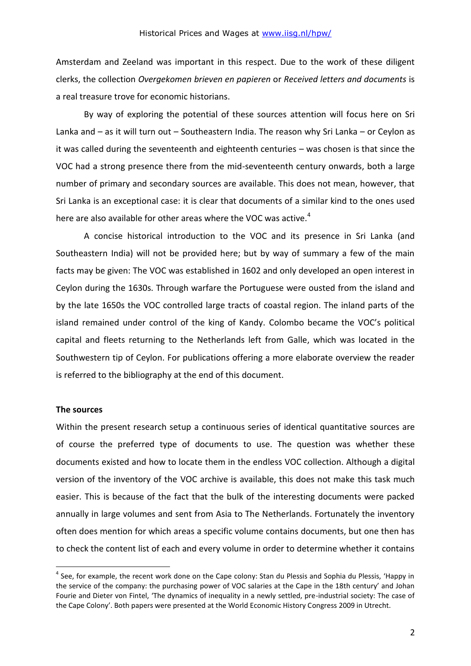Amsterdam and Zeeland was important in this respect. Due to the work of these diligent clerks, the collection *Overgekomen brieven en papieren* or *Received letters and documents* is a real treasure trove for economic historians.

By way of exploring the potential of these sources attention will focus here on Sri Lanka and – as it will turn out – Southeastern India. The reason why Sri Lanka – or Ceylon as it was called during the seventeenth and eighteenth centuries – was chosen is that since the VOC had a strong presence there from the mid-seventeenth century onwards, both a large number of primary and secondary sources are available. This does not mean, however, that Sri Lanka is an exceptional case: it is clear that documents of a similar kind to the ones used here are also available for other areas where the VOC was active. $4$ 

A concise historical introduction to the VOC and its presence in Sri Lanka (and Southeastern India) will not be provided here; but by way of summary a few of the main facts may be given: The VOC was established in 1602 and only developed an open interest in Ceylon during the 1630s. Through warfare the Portuguese were ousted from the island and by the late 1650s the VOC controlled large tracts of coastal region. The inland parts of the island remained under control of the king of Kandy. Colombo became the VOC's political capital and fleets returning to the Netherlands left from Galle, which was located in the Southwestern tip of Ceylon. For publications offering a more elaborate overview the reader is referred to the bibliography at the end of this document.

#### **The sources**

1

Within the present research setup a continuous series of identical quantitative sources are of course the preferred type of documents to use. The question was whether these documents existed and how to locate them in the endless VOC collection. Although a digital version of the inventory of the VOC archive is available, this does not make this task much easier. This is because of the fact that the bulk of the interesting documents were packed annually in large volumes and sent from Asia to The Netherlands. Fortunately the inventory often does mention for which areas a specific volume contains documents, but one then has to check the content list of each and every volume in order to determine whether it contains

<sup>&</sup>lt;sup>4</sup> See, for example, the recent work done on the Cape colony: Stan du Plessis and Sophia du Plessis, 'Happy in the service of the company: the purchasing power of VOC salaries at the Cape in the 18th century' and Johan Fourie and Dieter von Fintel, 'The dynamics of inequality in a newly settled, pre-industrial society: The case of the Cape Colony'. Both papers were presented at the World Economic History Congress 2009 in Utrecht.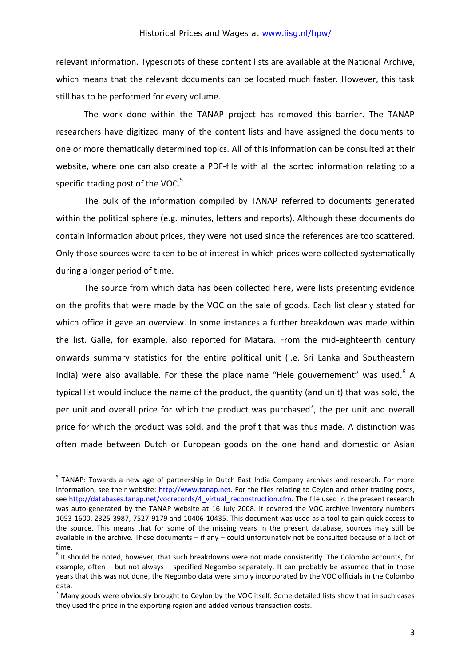relevant information. Typescripts of these content lists are available at the National Archive, which means that the relevant documents can be located much faster. However, this task still has to be performed for every volume.

The work done within the TANAP project has removed this barrier. The TANAP researchers have digitized many of the content lists and have assigned the documents to one or more thematically determined topics. All of this information can be consulted at their website, where one can also create a PDF-file with all the sorted information relating to a specific trading post of the VOC. $5$ 

The bulk of the information compiled by TANAP referred to documents generated within the political sphere (e.g. minutes, letters and reports). Although these documents do contain information about prices, they were not used since the references are too scattered. Only those sources were taken to be of interest in which prices were collected systematically during a longer period of time.

The source from which data has been collected here, were lists presenting evidence on the profits that were made by the VOC on the sale of goods. Each list clearly stated for which office it gave an overview. In some instances a further breakdown was made within the list. Galle, for example, also reported for Matara. From the mid-eighteenth century onwards summary statistics for the entire political unit (i.e. Sri Lanka and Southeastern India) were also available. For these the place name "Hele gouvernement" was used.<sup>6</sup> A typical list would include the name of the product, the quantity (and unit) that was sold, the per unit and overall price for which the product was purchased<sup>7</sup>, the per unit and overall price for which the product was sold, and the profit that was thus made. A distinction was often made between Dutch or European goods on the one hand and domestic or Asian

1

<sup>&</sup>lt;sup>5</sup> TANAP: Towards a new age of partnership in Dutch East India Company archives and research. For more information, see their website: [http://www.tanap.net.](http://www.tanap.net/) For the files relating to Ceylon and other trading posts, see [http://databases.tanap.net/vocrecords/4\\_virtual\\_reconstruction.cfm.](http://databases.tanap.net/vocrecords/4_virtual_reconstruction.cfm) The file used in the present research was auto-generated by the TANAP website at 16 July 2008. It covered the VOC archive inventory numbers 1053-1600, 2325-3987, 7527-9179 and 10406-10435. This document was used as a tool to gain quick access to the source. This means that for some of the missing years in the present database, sources may still be available in the archive. These documents – if any – could unfortunately not be consulted because of a lack of time.

 $<sup>6</sup>$  It should be noted, however, that such breakdowns were not made consistently. The Colombo accounts, for</sup> example, often – but not always – specified Negombo separately. It can probably be assumed that in those years that this was not done, the Negombo data were simply incorporated by the VOC officials in the Colombo data.

 $<sup>7</sup>$  Many goods were obviously brought to Ceylon by the VOC itself. Some detailed lists show that in such cases</sup> they used the price in the exporting region and added various transaction costs.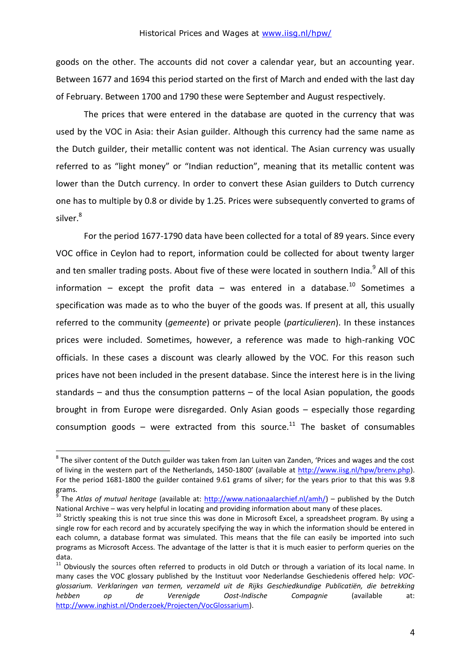goods on the other. The accounts did not cover a calendar year, but an accounting year. Between 1677 and 1694 this period started on the first of March and ended with the last day of February. Between 1700 and 1790 these were September and August respectively.

The prices that were entered in the database are quoted in the currency that was used by the VOC in Asia: their Asian guilder. Although this currency had the same name as the Dutch guilder, their metallic content was not identical. The Asian currency was usually referred to as "light money" or "Indian reduction", meaning that its metallic content was lower than the Dutch currency. In order to convert these Asian guilders to Dutch currency one has to multiple by 0.8 or divide by 1.25. Prices were subsequently converted to grams of silver.<sup>8</sup>

For the period 1677-1790 data have been collected for a total of 89 years. Since every VOC office in Ceylon had to report, information could be collected for about twenty larger and ten smaller trading posts. About five of these were located in southern India.<sup>9</sup> All of this information – except the profit data – was entered in a database.<sup>10</sup> Sometimes a specification was made as to who the buyer of the goods was. If present at all, this usually referred to the community (*gemeente*) or private people (*particulieren*). In these instances prices were included. Sometimes, however, a reference was made to high-ranking VOC officials. In these cases a discount was clearly allowed by the VOC. For this reason such prices have not been included in the present database. Since the interest here is in the living standards – and thus the consumption patterns – of the local Asian population, the goods brought in from Europe were disregarded. Only Asian goods – especially those regarding consumption goods – were extracted from this source.<sup>11</sup> The basket of consumables

1

 $^8$  The silver content of the Dutch guilder was taken from Jan Luiten van Zanden, 'Prices and wages and the cost of living in the western part of the Netherlands, 1450-1800' (available at [http://www.iisg.nl/hpw/brenv.php\)](http://www.iisg.nl/hpw/brenv.php). For the period 1681-1800 the guilder contained 9.61 grams of silver; for the years prior to that this was 9.8 grams.

<sup>9</sup> The *Atlas of mutual heritage* (available at: [http://www.nationaalarchief.nl/amh/\)](http://www.nationaalarchief.nl/amh/) – published by the Dutch National Archive – was very helpful in locating and providing information about many of these places.

 $10$  Strictly speaking this is not true since this was done in Microsoft Excel, a spreadsheet program. By using a single row for each record and by accurately specifying the way in which the information should be entered in each column, a database format was simulated. This means that the file can easily be imported into such programs as Microsoft Access. The advantage of the latter is that it is much easier to perform queries on the data.

 $11$  Obviously the sources often referred to products in old Dutch or through a variation of its local name. In many cases the VOC glossary published by the Instituut voor Nederlandse Geschiedenis offered help: *VOCglossarium. Verklaringen van termen, verzameld uit de Rijks Geschiedkundige Publicatiën, die betrekking hebben op de Verenigde Oost-Indische Compagnie* (available at: [http://www.inghist.nl/Onderzoek/Projecten/VocGlossarium\)](http://www.inghist.nl/Onderzoek/Projecten/VocGlossarium).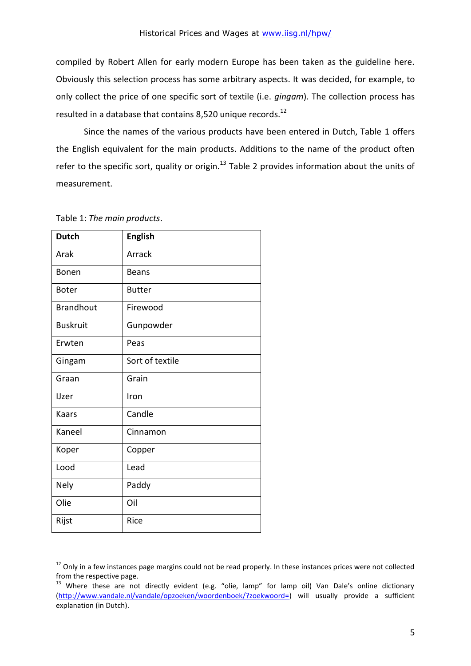compiled by Robert Allen for early modern Europe has been taken as the guideline here. Obviously this selection process has some arbitrary aspects. It was decided, for example, to only collect the price of one specific sort of textile (i.e. *gingam*). The collection process has resulted in a database that contains 8,520 unique records.<sup>12</sup>

Since the names of the various products have been entered in Dutch, Table 1 offers the English equivalent for the main products. Additions to the name of the product often refer to the specific sort, quality or origin.<sup>13</sup> Table 2 provides information about the units of measurement.

| <b>Dutch</b>     | <b>English</b>  |
|------------------|-----------------|
| Arak             | Arrack          |
| Bonen            | <b>Beans</b>    |
| <b>Boter</b>     | <b>Butter</b>   |
| <b>Brandhout</b> | Firewood        |
| <b>Buskruit</b>  | Gunpowder       |
| Erwten           | Peas            |
| Gingam           | Sort of textile |
| Graan            | Grain           |
| <b>IJzer</b>     | Iron            |
| Kaars            | Candle          |
| Kaneel           | Cinnamon        |
| Koper            | Copper          |
| Lood             | Lead            |
| Nely             | Paddy           |
| Olie             | Oil             |
| Rijst            | Rice            |

Table 1: *The main products*.

1

 $12$  Only in a few instances page margins could not be read properly. In these instances prices were not collected from the respective page.

<sup>&</sup>lt;sup>13</sup> Where these are not directly evident (e.g. "olie, lamp" for lamp oil) Van Dale's online dictionary [\(http://www.vandale.nl/vandale/opzoeken/woordenboek/?zoekwoord=\)](http://www.vandale.nl/vandale/opzoeken/woordenboek/?zoekwoord=) will usually provide a sufficient explanation (in Dutch).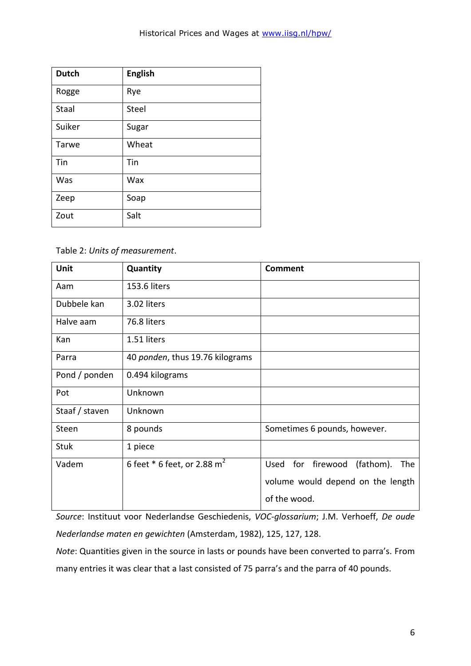| <b>Dutch</b> | <b>English</b> |
|--------------|----------------|
| Rogge        | Rye            |
| <b>Staal</b> | <b>Steel</b>   |
| Suiker       | Sugar          |
| Tarwe        | Wheat          |
| Tin          | Tin            |
| Was          | Wax            |
| Zeep         | Soap           |
| Zout         | Salt           |

Table 2: *Units of measurement*.

| Unit           | Quantity                                  | Comment                                  |
|----------------|-------------------------------------------|------------------------------------------|
| Aam            | 153.6 liters                              |                                          |
| Dubbele kan    | 3.02 liters                               |                                          |
| Halve aam      | 76.8 liters                               |                                          |
| Kan            | 1.51 liters                               |                                          |
| Parra          | 40 ponden, thus 19.76 kilograms           |                                          |
| Pond / ponden  | 0.494 kilograms                           |                                          |
| Pot            | Unknown                                   |                                          |
| Staaf / staven | Unknown                                   |                                          |
| Steen          | 8 pounds                                  | Sometimes 6 pounds, however.             |
| <b>Stuk</b>    | 1 piece                                   |                                          |
| Vadem          | 6 feet $*$ 6 feet, or 2.88 m <sup>2</sup> | Used for<br>firewood<br>(fathom).<br>The |
|                |                                           | volume would depend on the length        |
|                |                                           | of the wood.                             |

*Source*: Instituut voor Nederlandse Geschiedenis, *VOC-glossarium*; J.M. Verhoeff, *De oude Nederlandse maten en gewichten* (Amsterdam, 1982), 125, 127, 128.

*Note*: Quantities given in the source in lasts or pounds have been converted to parra's. From many entries it was clear that a last consisted of 75 parra's and the parra of 40 pounds.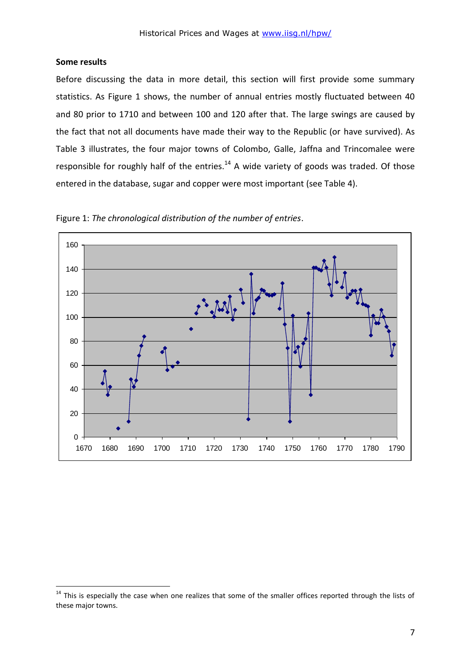### **Some results**

1

Before discussing the data in more detail, this section will first provide some summary statistics. As Figure 1 shows, the number of annual entries mostly fluctuated between 40 and 80 prior to 1710 and between 100 and 120 after that. The large swings are caused by the fact that not all documents have made their way to the Republic (or have survived). As Table 3 illustrates, the four major towns of Colombo, Galle, Jaffna and Trincomalee were responsible for roughly half of the entries. $14$  A wide variety of goods was traded. Of those entered in the database, sugar and copper were most important (see Table 4).



Figure 1: *The chronological distribution of the number of entries*.

 $14$  This is especially the case when one realizes that some of the smaller offices reported through the lists of these major towns.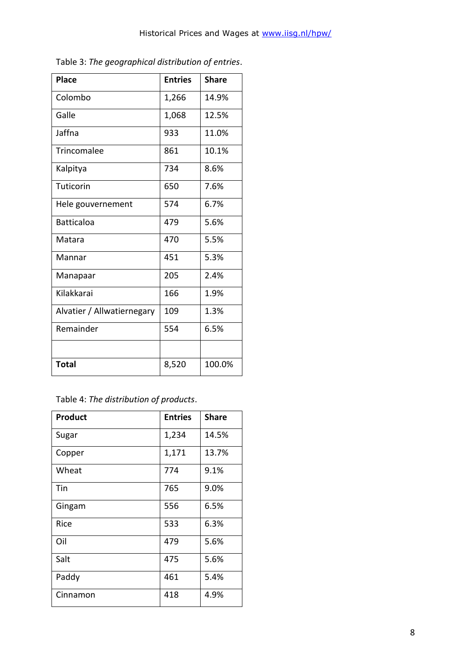| <b>Place</b>               | <b>Entries</b> | <b>Share</b> |
|----------------------------|----------------|--------------|
| Colombo                    | 1,266          | 14.9%        |
| Galle                      | 1,068          | 12.5%        |
| Jaffna                     | 933            | 11.0%        |
| Trincomalee                | 861            | 10.1%        |
| Kalpitya                   | 734            | 8.6%         |
| Tuticorin                  | 650            | 7.6%         |
| Hele gouvernement          | 574            | 6.7%         |
| <b>Batticaloa</b>          | 479            | 5.6%         |
| Matara                     | 470            | 5.5%         |
| Mannar                     | 451            | 5.3%         |
| Manapaar                   | 205            | 2.4%         |
| Kilakkarai                 | 166            | 1.9%         |
| Alvatier / Allwatiernegary | 109            | 1.3%         |
| Remainder                  | 554            | 6.5%         |
|                            |                |              |
| <b>Total</b>               | 8,520          | 100.0%       |

Table 3: *The geographical distribution of entries*.

|  |  | Table 4: The distribution of products. |
|--|--|----------------------------------------|
|--|--|----------------------------------------|

| <b>Product</b> | <b>Entries</b> | <b>Share</b> |
|----------------|----------------|--------------|
| Sugar          | 1,234          | 14.5%        |
| Copper         | 1,171          | 13.7%        |
| Wheat          | 774            | 9.1%         |
| Tin            | 765            | 9.0%         |
| Gingam         | 556            | 6.5%         |
| Rice           | 533            | 6.3%         |
| Oil            | 479            | 5.6%         |
| Salt           | 475            | 5.6%         |
| Paddy          | 461            | 5.4%         |
| Cinnamon       | 418            | 4.9%         |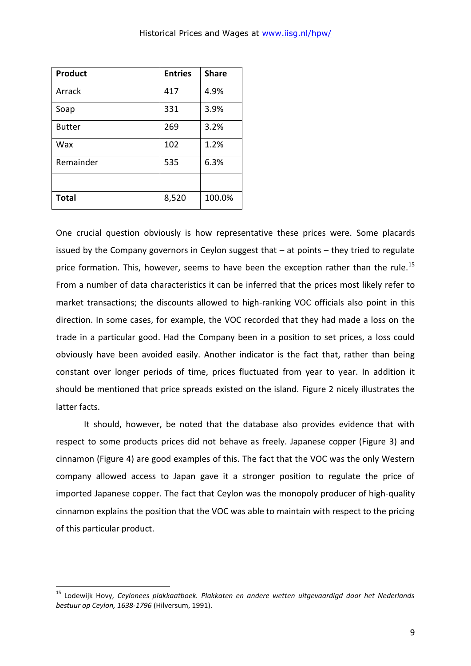| Product       | <b>Entries</b> | <b>Share</b> |
|---------------|----------------|--------------|
| Arrack        | 417            | 4.9%         |
| Soap          | 331            | 3.9%         |
| <b>Butter</b> | 269            | 3.2%         |
| Wax           | 102            | 1.2%         |
| Remainder     | 535            | 6.3%         |
|               |                |              |
| <b>Total</b>  | 8,520          | 100.0%       |

1

One crucial question obviously is how representative these prices were. Some placards issued by the Company governors in Ceylon suggest that – at points – they tried to regulate price formation. This, however, seems to have been the exception rather than the rule.<sup>15</sup> From a number of data characteristics it can be inferred that the prices most likely refer to market transactions; the discounts allowed to high-ranking VOC officials also point in this direction. In some cases, for example, the VOC recorded that they had made a loss on the trade in a particular good. Had the Company been in a position to set prices, a loss could obviously have been avoided easily. Another indicator is the fact that, rather than being constant over longer periods of time, prices fluctuated from year to year. In addition it should be mentioned that price spreads existed on the island. Figure 2 nicely illustrates the latter facts.

It should, however, be noted that the database also provides evidence that with respect to some products prices did not behave as freely. Japanese copper (Figure 3) and cinnamon (Figure 4) are good examples of this. The fact that the VOC was the only Western company allowed access to Japan gave it a stronger position to regulate the price of imported Japanese copper. The fact that Ceylon was the monopoly producer of high-quality cinnamon explains the position that the VOC was able to maintain with respect to the pricing of this particular product.

<sup>15</sup> Lodewijk Hovy, *Ceylonees plakkaatboek. Plakkaten en andere wetten uitgevaardigd door het Nederlands bestuur op Ceylon, 1638-1796* (Hilversum, 1991).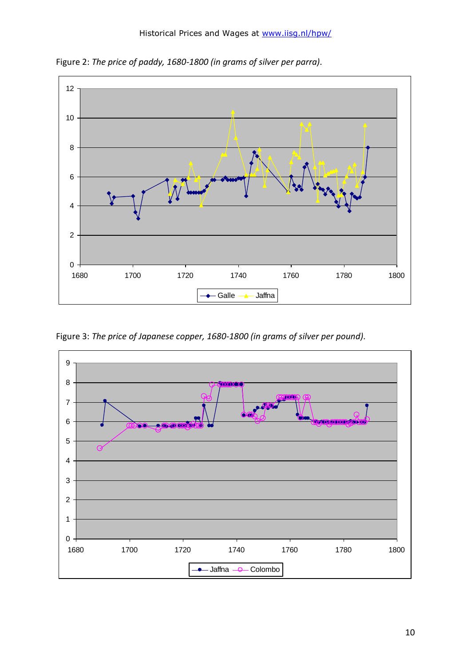

Figure 2: *The price of paddy, 1680-1800 (in grams of silver per parra)*.

Figure 3: *The price of Japanese copper, 1680-1800 (in grams of silver per pound)*.

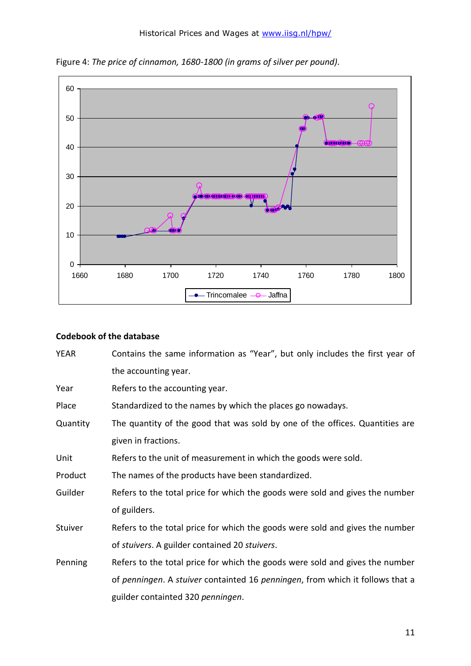

Figure 4: *The price of cinnamon, 1680-1800 (in grams of silver per pound)*.

## **Codebook of the database**

| <b>YEAR</b> | Contains the same information as "Year", but only includes the first year of  |
|-------------|-------------------------------------------------------------------------------|
|             | the accounting year.                                                          |
| Year        | Refers to the accounting year.                                                |
| Place       | Standardized to the names by which the places go nowadays.                    |
| Quantity    | The quantity of the good that was sold by one of the offices. Quantities are  |
|             | given in fractions.                                                           |
| Unit        | Refers to the unit of measurement in which the goods were sold.               |
| Product     | The names of the products have been standardized.                             |
| Guilder     | Refers to the total price for which the goods were sold and gives the number  |
|             | of guilders.                                                                  |
| Stuiver     | Refers to the total price for which the goods were sold and gives the number  |
|             | of stuivers. A guilder contained 20 stuivers.                                 |
| Penning     | Refers to the total price for which the goods were sold and gives the number  |
|             | of penningen. A stuiver containted 16 penningen, from which it follows that a |
|             | guilder containted 320 penningen.                                             |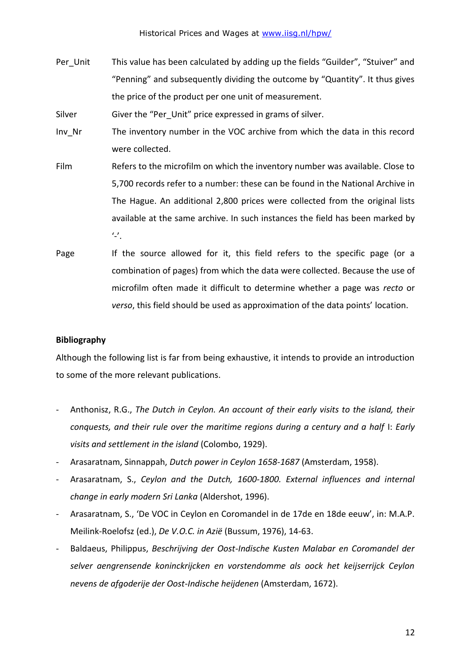Per Unit This value has been calculated by adding up the fields "Guilder", "Stuiver" and "Penning" and subsequently dividing the outcome by "Quantity". It thus gives the price of the product per one unit of measurement.

Silver Giver the "Per Unit" price expressed in grams of silver.

- Inv\_Nr The inventory number in the VOC archive from which the data in this record were collected.
- Film Refers to the microfilm on which the inventory number was available. Close to 5,700 records refer to a number: these can be found in the National Archive in The Hague. An additional 2,800 prices were collected from the original lists available at the same archive. In such instances the field has been marked by  $^{\prime}$ .
- Page If the source allowed for it, this field refers to the specific page (or a combination of pages) from which the data were collected. Because the use of microfilm often made it difficult to determine whether a page was *recto* or *verso*, this field should be used as approximation of the data points' location.

# **Bibliography**

Although the following list is far from being exhaustive, it intends to provide an introduction to some of the more relevant publications.

- Anthonisz, R.G., *The Dutch in Ceylon. An account of their early visits to the island, their conquests, and their rule over the maritime regions during a century and a half* I: *Early visits and settlement in the island* (Colombo, 1929).
- Arasaratnam, Sinnappah, *Dutch power in Ceylon 1658-1687* (Amsterdam, 1958).
- Arasaratnam, S., *Ceylon and the Dutch, 1600-1800. External influences and internal change in early modern Sri Lanka* (Aldershot, 1996).
- Arasaratnam, S., 'De VOC in Ceylon en Coromandel in de 17de en 18de eeuw', in: M.A.P. Meilink-Roelofsz (ed.), *De V.O.C. in Azië* (Bussum, 1976), 14-63.
- Baldaeus, Philippus, *Beschrijving der Oost-Indische Kusten Malabar en Coromandel der selver aengrensende koninckrijcken en vorstendomme als oock het keijserrijck Ceylon nevens de afgoderije der Oost-Indische heijdenen* (Amsterdam, 1672).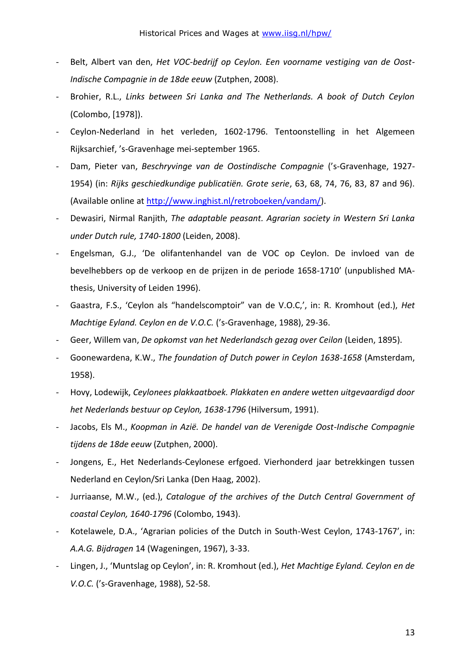- Belt, Albert van den, Het VOC-bedrijf op Ceylon. Een voorname vestiging van de Oost-*Indische Compagnie in de 18de eeuw* (Zutphen, 2008).
- Brohier, R.L., *Links between Sri Lanka and The Netherlands. A book of Dutch Ceylon* (Colombo, [1978]).
- Ceylon-Nederland in het verleden, 1602-1796. Tentoonstelling in het Algemeen Rijksarchief, 's-Gravenhage mei-september 1965.
- Dam, Pieter van, *Beschryvinge van de Oostindische Compagnie* ('s-Gravenhage, 1927- 1954) (in: *Rijks geschiedkundige publicatiën. Grote serie*, 63, 68, 74, 76, 83, 87 and 96). (Available online at [http://www.inghist.nl/retroboeken/vandam/\)](http://www.inghist.nl/retroboeken/vandam/).
- Dewasiri, Nirmal Ranjith, *The adaptable peasant. Agrarian society in Western Sri Lanka under Dutch rule, 1740-1800* (Leiden, 2008).
- Engelsman, G.J., 'De olifantenhandel van de VOC op Ceylon. De invloed van de bevelhebbers op de verkoop en de prijzen in de periode 1658-1710' (unpublished MAthesis, University of Leiden 1996).
- Gaastra, F.S., 'Ceylon als "handelscomptoir" van de V.O.C,', in: R. Kromhout (ed.), *Het Machtige Eyland. Ceylon en de V.O.C.* ('s-Gravenhage, 1988), 29-36.
- Geer, Willem van, *De opkomst van het Nederlandsch gezag over Ceilon* (Leiden, 1895).
- Goonewardena, K.W., *The foundation of Dutch power in Ceylon 1638-1658* (Amsterdam, 1958).
- Hovy, Lodewijk, *Ceylonees plakkaatboek. Plakkaten en andere wetten uitgevaardigd door het Nederlands bestuur op Ceylon, 1638-1796* (Hilversum, 1991).
- Jacobs, Els M., *Koopman in Azië. De handel van de Verenigde Oost-Indische Compagnie tijdens de 18de eeuw* (Zutphen, 2000).
- Jongens, E., Het Nederlands-Ceylonese erfgoed. Vierhonderd jaar betrekkingen tussen Nederland en Ceylon/Sri Lanka (Den Haag, 2002).
- Jurriaanse, M.W., (ed.), *Catalogue of the archives of the Dutch Central Government of coastal Ceylon, 1640-1796* (Colombo, 1943).
- Kotelawele, D.A., 'Agrarian policies of the Dutch in South-West Ceylon, 1743-1767', in: *A.A.G. Bijdragen* 14 (Wageningen, 1967), 3-33.
- Lingen, J., 'Muntslag op Ceylon', in: R. Kromhout (ed.), *Het Machtige Eyland. Ceylon en de V.O.C.* ('s-Gravenhage, 1988), 52-58.